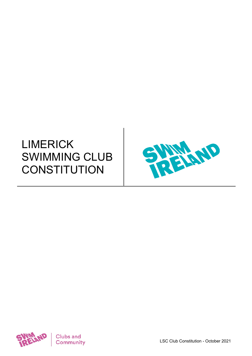# LIMERICK SWIMMING CLUB **CONSTITUTION**



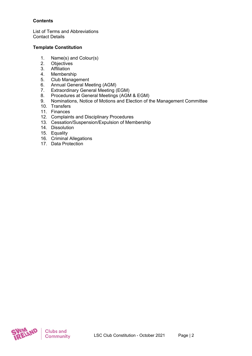# **Contents**

List of Terms and Abbreviations Contact Details

# **Template Constitution**

- 1. Name(s) and Colour(s)<br>2. Obiectives
- **Objectives**
- 3. Affiliation
- 4. Membership
- 5. Club Management
- 6. Annual General Meeting (AGM)
- 7. Extraordinary General Meeting (EGM)
- 8. Procedures at General Meetings (AGM & EGM)
- 9. Nominations, Notice of Motions and Election of the Management Committee
- 10. Transfers
- 11. Finances
- 12. Complaints and Disciplinary Procedures
- 13. Cessation/Suspension/Expulsion of Membership
- 14. Dissolution
- 15. Equality
- 16. Criminal Allegations
- 17. Data Protection

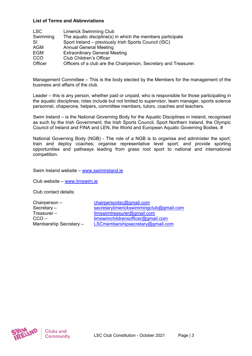#### **List of Terms and Abbreviations**

| <b>LSC</b> | <b>Limerick Swimming Club</b>                                    |
|------------|------------------------------------------------------------------|
| Swimming   | The aquatic discipline(s) in which the members participate       |
| -SI        | Sport Ireland - previously Irish Sports Council (ISC)            |
| AGM        | <b>Annual General Meeting</b>                                    |
| <b>EGM</b> | <b>Extraordinary General Meeting</b>                             |
| <b>CCO</b> | <b>Club Children's Officer</b>                                   |
| Officer    | Officers of a club are the Chairperson, Secretary and Treasurer. |

Management Committee – This is the body elected by the Members for the management of the business and affairs of the club.

Leader – this is any person, whether paid or unpaid, who is responsible for those participating in the aquatic disciplines; roles include but not limited to supervisor, team manager, sports science personnel, chaperone, helpers, committee members, tutors, coaches and teachers.

Swim Ireland – is the National Governing Body for the Aquatic Disciplines in Ireland, recognised as such by the Irish Government, the Irish Sports Council, Sport Northern Ireland, the Olympic Council of Ireland and FINA and LEN, the World and European Aquatic Governing Bodies. #

National Governing Body (NGB) - The role of a NGB is to organise and administer the sport; train and deploy coaches; organise representative level sport; and provide sporting opportunities and pathways leading from grass root sport to national and international competition.

Swim Ireland website – [www.swimireland.ie](http://www.swimireland.ie/)

Club website – [www.limswim.ie](http://www.limswim.ie/)

Club contact details:

Chairperson – [chairpersonlsc@gmail.com](mailto:chairpersonlsc@gmail.com)

Secretary – [secretarylimerickswimmingclub@gmail.com](mailto:secretarylimerickswimmingclub@gmail.com) Treasurer – [limswimtreasurer@gmail.com](mailto:limswimtreasurer@gmail.com) CCO – [limswimchildrensofficer@gmail.com](mailto:limswimchildrensofficer@gmail.com) Membership Secretary – [LSCmembershipsecretary@gmail.com](mailto:LSCmembershipsecretary@gmail.com)

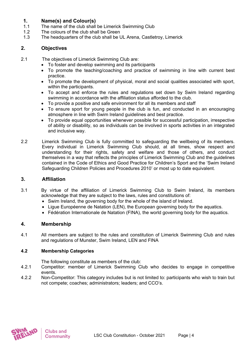# **1. Name(s) and Colour(s)**

- The name of the club shall be Limerick Swimming Club
- 1.2 The colours of the club shall be Green
- 1.3 The headquarters of the club shall be UL Arena, Castletroy, Limerick

# **2. Objectives**

- 2.1 The objectives of Limerick Swimming Club are:
	- To foster and develop swimming and its participants
		- To promote the teaching/coaching and practice of swimming in line with current best practice.
		- To promote the development of physical, moral and social qualities associated with sport, within the participants.
		- To accept and enforce the rules and regulations set down by Swim Ireland regarding swimming in accordance with the affiliation status afforded to the club.
		- To provide a positive and safe environment for all its members and staff
		- To ensure sport for young people in the club is fun, and conducted in an encouraging atmosphere in line with Swim Ireland guidelines and best practice.
		- To provide equal opportunities whenever possible for successful participation, irrespective of ability or disability, so as individuals can be involved in sports activities in an integrated and inclusive way.
- 2.2 Limerick Swimming Club is fully committed to safeguarding the wellbeing of its members. Every individual in Limerick Swimming Club should, at all times, show respect and understanding for their rights, safety and welfare and those of others, and conduct themselves in a way that reflects the principles of Limerick Swimming Club and the guidelines contained in the Code of Ethics and Good Practice for Children's Sport and the 'Swim Ireland Safeguarding Children Policies and Procedures 2010' or most up to date equivalent.

# **3. Affiliation**

- 3.1 By virtue of the affiliation of Limerick Swimming Club to Swim Ireland, its members acknowledge that they are subject to the laws, rules and constitutions of:
	- Swim Ireland, the governing body for the whole of the island of Ireland.
	- Ligue Européenne de Natation (LEN), the European governing body for the aquatics.
	- Fédération Internationale de Natation (FINA), the world governing body for the aquatics.

# **4. Membership**

4.1 All members are subject to the rules and constitution of Limerick Swimming Club and rules and regulations of Munster, Swim Ireland, LEN and FINA

# **4.2 Membership Categories**

The following constitute as members of the club:

- 4.2.1 Competitor: member of Limerick Swimming Club who decides to engage in competitive events.
- 4.2.2 Non-Competitor: This category includes but is not limited to: participants who wish to train but not compete; coaches; administrators; leaders; and CCO's.

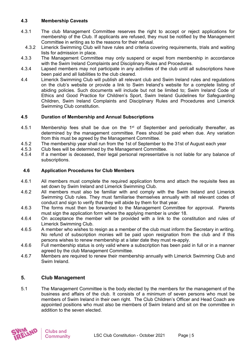### **4.3 Membership Caveats**

- 4.3.1 The club Management Committee reserves the right to accept or reject applications for membership of the Club. If applicants are refused, they must be notified by the Management Committee in writing as to the reasons for their refusal.
- 4.3.2 Limerick Swimming Club will have rules and criteria covering requirements, trials and waiting lists for admission in place.
- 4.3.3 The Management Committee may only suspend or expel from membership in accordance with the Swim Ireland Complaints and Disciplinary Rules and Procedures.
- 4.3.4 Lapsed members may not participate in any activities of the club until all subscriptions have been paid and all liabilities to the club cleared.
- 4.4 Limerick Swimming Club will publish all relevant club and Swim Ireland rules and regulations on the club's website or provide a link to Swim Ireland's website for a complete listing of abiding policies. Such documents will include but not be limited to; Swim Ireland Code of Ethics and Good Practice for Children's Sport, Swim Ireland Guidelines for Safeguarding Children, Swim Ireland Complaints and Disciplinary Rules and Procedures and Limerick Swimming Club constitution.

# **4.5 Duration of Membership and Annual Subscriptions**

- 4.5.1 Membership fees shall be due on the  $1<sup>st</sup>$  of September and periodically thereafter, as determined by the management committee. Fees should be paid when due. Any variation from this must be agreed by the Management Committee.
- 4.5.2 The membership year shall run from the 1st of September to the 31st of August each year<br>4.5.3 Club fees will be determined by the Management Committee.
- Club fees will be determined by the Management Committee.
- 4.5.4 If a member is deceased, their legal personal representative is not liable for any balance of subscriptions.

#### **4.6 Application Procedures for Club Members**

- 4.6.1 All members must complete the required application forms and attach the requisite fees as set down by Swim Ireland and Limerick Swimming Club.
- 4.6.2 All members must also be familiar with and comply with the Swim Ireland and Limerick Swimming Club rules. They must familiarise themselves annually with all relevant codes of conduct and sign to verify that they will abide by them for that year.
- 4.6.3 The forms must then be forwarded to the Management Committee for approval. Parents must sign the application form where the applying member is under 18.
- 4.6.4 On acceptance the member will be provided with a link to the constitution and rules of Limerick Swimming Club.
- 4.6.5 A member who wishes to resign as a member of the club must inform the Secretary in writing. No refund of subscription monies will be paid upon resignation from the club and if this persons wishes to renew membership at a later date they must re-apply.
- 4.6.6 Full membership status is only valid where a subscription has been paid in full or in a manner agreed by the club Management Committee.
- 4.6.7 Members are required to renew their membership annually with Limerick Swimming Club and Swim Ireland.

# **5. Club Management**

5.1 The Management Committee is the body elected by the members for the management of the business and affairs of the club. It consists of a minimum of seven persons who must be members of Swim Ireland in their own right. The Club Children's Officer and Head Coach are appointed positions who must also be members of Swim Ireland and sit on the committee in addition to the seven elected.

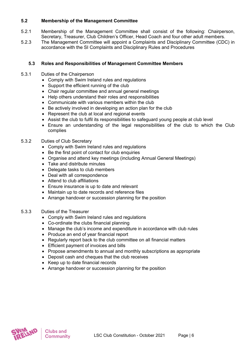### **5.2 Membership of the Management Committee**

- 5.2.1 Membership of the Management Committee shall consist of the following: Chairperson, Secretary, Treasurer, Club Children's Officer, Head Coach and four other adult members.
- 5.2.3 The Management Committee will appoint a Complaints and Disciplinary Committee (CDC) in accordance with the SI Complaints and Disciplinary Rules and Procedures

#### **5.3 Roles and Responsibilities of Management Committee Members**

- 5.3.1 Duties of the Chairperson
	- Comply with Swim Ireland rules and regulations
	- Support the efficient running of the club
	- Chair regular committee and annual general meetings
	- Help others understand their roles and responsibilities
	- Communicate with various members within the club
	- Be actively involved in developing an action plan for the club
	- Represent the club at local and regional events
	- Assist the club to fulfil its responsibilities to safeguard young people at club level
	- Ensure an understanding of the legal responsibilities of the club to which the Club complies
- 5.3.2 Duties of Club Secretary
	- Comply with Swim Ireland rules and regulations
	- Be the first point of contact for club enquiries
	- Organise and attend key meetings (including Annual General Meetings)
	- Take and distribute minutes
	- Delegate tasks to club members
	- Deal with all correspondence
	- Attend to club affiliations
	- Ensure insurance is up to date and relevant
	- Maintain up to date records and reference files
	- Arrange handover or succession planning for the position
- 5.3.3 Duties of the Treasurer
	- Comply with Swim Ireland rules and regulations
	- Co-ordinate the clubs financial planning
	- Manage the club's income and expenditure in accordance with club rules
	- Produce an end of year financial report
	- Regularly report back to the club committee on all financial matters
	- Efficient payment of invoices and bills
	- Propose amendments to annual and monthly subscriptions as appropriate
	- Deposit cash and cheques that the club receives
	- Keep up to date financial records
	- Arrange handover or succession planning for the position

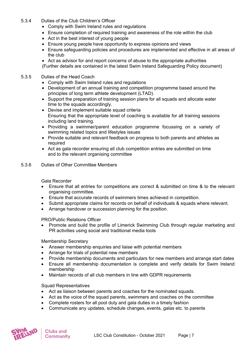#### 5.3.4 Duties of the Club Children's Officer

- Comply with Swim Ireland rules and regulations
- Ensure completion of required training and awareness of the role within the club
- Act in the best interest of young people
- Ensure young people have opportunity to express opinions and views
- Ensure safeguarding policies and procedures are implemented and effective in all areas of the club
- Act as advisor for and report concerns of abuse to the appropriate authorities (Further details are contained in the latest Swim Ireland Safeguarding Policy document)

#### 5.3.5 Duties of the Head Coach

- Comply with Swim Ireland rules and regulations
- Development of an annual training and competition programme based around the principles of long term athlete development (LTAD).
- Support the preparation of training session plans for all squads and allocate water time to the squads accordingly.
- Devise and implement suitable squad criteria Ensuring that the appropriate level of coaching is available for all training sessions including land training.
- Providing a swimmer/parent education programme focussing on a variety of swimming related topics and lifestyles issues
- Provide suitable and relevant feedback on progress to both parents and athletes as required
- Act as gala recorder ensuring all club competition entries are submitted on time and to the relevant organising committee

#### 5.3.6 Duties of Other Committee Members

#### Gala Recorder

- Ensure that all entries for competitions are correct & submitted on time & to the relevant organising committee.
- Ensure that accurate records of swimmers times achieved in competition.
- Submit appropriate claims for records on behalf of individuals & squads where relevant.
- Arrange handover or succession planning for the position.

PRO/Public Relations Officer

• Promote and build the profile of Limerick Swimming Club through regular marketing and PR activities using social and traditional media tools

#### Membership Secretary

- Answer membership enquiries and liaise with potential members
- Arrange for trials of potential new members
- Provide membership documents and particulars for new members and arrange start dates
- Ensure all membership documentation is complete and verify details for Swim Ireland membership
- Maintain records of all club members in line with GDPR requirements

#### Squad Representatives

- Act as liaison between parents and coaches for the nominated squads.
- Act as the voice of the squad parents, swimmers and coaches on the committee
- Complete rosters for all pool duty and gala duties in a timely fashion
- Communicate any updates, schedule changes, events, galas etc. to parents

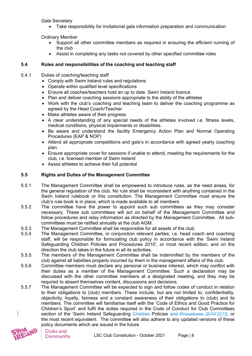Gala Secretary

• Take responsibility for invitational gala information preparation and communication

Ordinary Member

- Support all other committee members as required in ensuring the efficient running of the club
- Assist in completing any tasks not covered by other specified committee roles

# **5.4 Roles and responsibilities of the coaching and teaching staff**

- 5.4.1 Duties of coaching/teaching staff
	- Comply with Swim Ireland rules and regulations
	- Operate within qualified level specifications
	- Ensure all coaches/teachers hold an up to date Swim Ireland licence
	- Plan and deliver coaching sessions appropriate to the ability of the athletes
	- Work with the club's coaching and teaching team to deliver the coaching programme as agreed by the Head Coach/Teacher
	- Make athletes aware of their progress.
	- A clear understanding of any special needs of the athletes involved i.e. fitness levels, medical conditions, physical impairments or disabilities.
	- Be aware and understand the facility Emergency Action Plan and Normal Operating Procedures (EAP & NOP)
	- Attend all appropriate competitions and gala's in accordance with agreed yearly coaching plan
	- Ensure appropriate cover for sessions if unable to attend, meeting the requirements for the club, i.e. licensed member of Swim Ireland
	- Assist athletes to achieve their full potential

#### **5.5 Rights and Duties of the Management Committee**

- 5.5.1 The Management Committee shall be empowered to introduce rules, as the need arises, for the general regulation of the club. No rule shall be inconsistent with anything contained in the Swim Ireland rulebook or this constitution. The Management Committee must ensure the club's rule book is in place, which is made available to all members
- 5.5.2 The committee have the power to appoint such sub committees as they may consider necessary. These sub committees will act on behalf of the Management Committee and follow procedures and relay information as directed by the Management Committee. All subcommittees must be ratified annually at the club AGM.
- 5.5.3 The Management Committee shall be responsible for all assets of the club.<br>5.5.4 The Management Committee, in coniunction relevant parties: i.e. head co
- The Management Committee, in conjunction relevant parties; i.e. head coach and coaching staff, will be responsible for formulating club policy in accordance with the 'Swim Ireland Safeguarding Children Policies and Procedures 2010', or most recent edition, and on the direction the club takes in the future in all its activities.
- 5.5.5 The members of the Management Committee shall be indemnified by the members of the club against all liabilities properly incurred by them in the management affairs of the club.
- 5.5.6 Committee members must declare any personal or business interest, which may conflict with their duties as a member of the Management Committee. Such a declaration may be discussed with the other committee members at a designated meeting, and they may be required to absent themselves content, discussions and decisions.
- 5.5.7 The Management Committee will be expected to sign and follow codes of conduct in relation to their obligations to (club) members. These include, but are not limited to, confidentiality, objectivity, loyalty, fairness and a constant awareness of their obligations to (club) and its members. The committee will familiarise itself with the 'Code of Ethics and Good Practice for Children's Sport' and fulfil the duties required in the Code of Conduct for Club Committees section of the 'Swim Ireland Safeguarding Children-Policies and Procedures 2010'2019, or the most recent equivalent. The committee will also adhere to any updated versions of these policy documents which are issued in the future

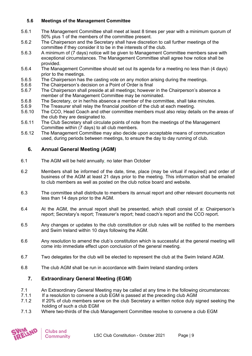# **5.6 Meetings of the Management Committee**

- 5.6.1 The Management Committee shall meet at least 8 times per year with a minimum quorum of 50% plus 1 of the members of the committee present.
- 5.6.2 The Chairperson and the Secretary shall have discretion to call further meetings of the committee if they consider it to be in the interests of the club.
- 5.6.3 A minimum of (7 days) notice will be given to Management Committee members save with exceptional circumstances. The Management Committee shall agree how notice shall be provided.
- 5.6.4 The Management Committee should set out its agenda for a meeting no less than (4 days) prior to the meetings.
- 5.6.5 The Chairperson has the casting vote on any motion arising during the meetings.
- 5.6.6 The Chairperson's decision on a Point of Order is final
- 5.6.7 The Chairperson shall preside at all meetings; however in the Chairperson's absence a member of the Management Committee may be nominated.
- 5.6.8 The Secretary, or in her/his absence a member of the committee, shall take minutes.<br>5.6.9 The Treasurer shall relay the financial position of the club at each meeting
- 5.6.9 The Treasurer shall relay the financial position of the club at each meeting.<br>5.6.10 The CCO. Head Coach and other committee members must also relay deta
- The CCO. Head Coach and other committee members must also relay details on the areas of the club they are designated to.
- 5.6.11 The Club Secretary shall circulate points of note from the meetings of the Management Committee within (7 days) to all club members.
- 5.6.12 The Management Committee may also decide upon acceptable means of communication used, during periods between meetings, to ensure the day to day running of club.

# **6. Annual General Meeting (AGM)**

- 6.1 The AGM will be held annually, no later than October
- 6.2 Members shall be informed of the date, time, place (may be virtual if required) and order of business of the AGM at least 21 days prior to the meeting. This information shall be emailed to club members as well as posted on the club notice board and website.
- 6.3 The committee shall distribute to members its annual report and other relevant documents not less than 14 days prior to the AGM.
- 6.4 At the AGM, the annual report shall be presented, which shall consist of a: Chairperson's report; Secretary's report; Treasurer's report; head coach's report and the CCO report.
- 6.5 Any changes or updates to the club constitution or club rules will be notified to the members and Swim Ireland within 10 days following the AGM.
- 6.6 Any resolution to amend the club's constitution which is successful at the general meeting will come into immediate effect upon conclusion of the general meeting.
- 6.7 Two delegates for the club will be elected to represent the club at the Swim Ireland AGM.
- 6.8 The club AGM shall be run in accordance with Swim Ireland standing orders

# **7. Extraordinary General Meeting (EGM)**

- 7.1 An Extraordinary General Meeting may be called at any time in the following circumstances:
- 7.1.1 If a resolution to convene a club EGM is passed at the preceding club AGM
- 7.1.2 If 20% of club members serve on the club Secretary a written notice duly signed seeking the holding of such a club EGM
- 7.1.3 Where two-thirds of the club Management Committee resolve to convene a club EGM

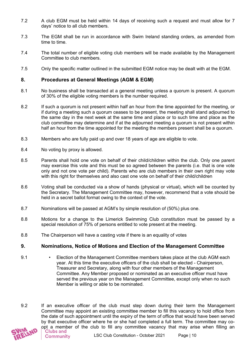- 7.2 A club EGM must be held within 14 days of receiving such a request and must allow for 7 days' notice to all club members.
- 7.3 The EGM shall be run in accordance with Swim Ireland standing orders, as amended from time to time.
- 7.4 The total number of eligible voting club members will be made available by the Management Committee to club members.
- 7.5 Only the specific matter outlined in the submitted EGM notice may be dealt with at the EGM.

# **8. Procedures at General Meetings (AGM & EGM)**

- 8.1 No business shall be transacted at a general meeting unless a quorum is present. A quorum of 30% of the eligible voting members is the number required.
- 8.2 If such a quorum is not present within half an hour from the time appointed for the meeting, or if during a meeting such a quorum ceases to be present, the meeting shall stand adjourned to the same day in the next week at the same time and place or to such time and place as the club committee may determine and if at the adjourned meeting a quorum is not present within half an hour from the time appointed for the meeting the members present shall be a quorum.
- 8.3 Members who are fully paid up and over 18 years of age are eligible to vote.
- 8.4 No voting by proxy is allowed.
- 8.5 Parents shall hold one vote on behalf of their child/children within the club. Only one parent may exercise this vote and this must be so agreed between the parents (i.e. that is one vote only and not one vote per child). Parents who are club members in their own right may vote with this right for themselves and also cast one vote on behalf of their child/children
- 8.6 Voting shall be conducted via a show of hands (physical or virtual), which will be counted by the Secretary. The Management Committee may, however, recommend that a vote should be held in a secret ballot format owing to the context of the vote.
- 8.7 Nominations will be passed at AGM's by simple resolution of (50%) plus one.
- 8.8 Motions for a change to the Limerick Swimming Club constitution must be passed by a special resolution of 75% of persons entitled to vote present at the meeting.
- 8.8 The Chairperson will have a casting vote if there is an equality of votes

# **9. Nominations, Notice of Motions and Election of the Management Committee**

- 9.1 Election of the Management Committee members takes place at the club AGM each year. At this time the executive officers of the club shall be elected - Chairperson, Treasurer and Secretary, along with four other members of the Management Committee. Any Member proposed or nominated as an executive officer must have served the previous year on the Management Committee, except only when no such Member is willing or able to be nominated.
- 9.2 If an executive officer of the club must step down during their term the Management Committee may appoint an existing committee member to fill this vacancy to hold office from the date of such appointment until the expiry of the term of office that would have been served by that executive officer where he or she had completed a full term. The committee may co-

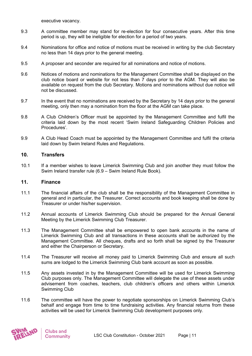executive vacancy.

- 9.3 A committee member may stand for re-election for four consecutive years. After this time period is up, they will be ineligible for election for a period of two years.
- 9.4 Nominations for office and notice of motions must be received in writing by the club Secretary no less than 14 days prior to the general meeting.
- 9.5 A proposer and seconder are required for all nominations and notice of motions.
- 9.6 Notices of motions and nominations for the Management Committee shall be displayed on the club notice board or website for not less than 7 days prior to the AGM. They will also be available on request from the club Secretary. Motions and nominations without due notice will not be discussed.
- 9.7 In the event that no nominations are received by the Secretary by 14 days prior to the general meeting, only then may a nomination from the floor at the AGM can take place.
- 9.8 A Club Children's Officer must be appointed by the Management Committee and fulfil the criteria laid down by the most recent 'Swim Ireland Safeguarding Children Policies and Procedures'.
- 9.9 A Club Head Coach must be appointed by the Management Committee and fulfil the criteria laid down by Swim Ireland Rules and Regulations.

# **10. Transfers**

10.1 If a member wishes to leave Limerick Swimming Club and join another they must follow the Swim Ireland transfer rule (6.9 – Swim Ireland Rule Book).

#### **11. Finance**

- 11.1 The financial affairs of the club shall be the responsibility of the Management Committee in general and in particular, the Treasurer. Correct accounts and book keeping shall be done by Treasurer or under his/her supervision.
- 11.2 Annual accounts of Limerick Swimming Club should be prepared for the Annual General Meeting by the Limerick Swimming Club Treasurer.
- 11.3 The Management Committee shall be empowered to open bank accounts in the name of Limerick Swimming Club and all transactions in these accounts shall be authorized by the Management Committee. All cheques, drafts and so forth shall be signed by the Treasurer and either the Chairperson or Secretary.
- 11.4 The Treasurer will receive all money paid to Limerick Swimming Club and ensure all such sums are lodged to the Limerick Swimming Club bank account as soon as possible.
- 11.5 Any assets invested in by the Management Committee will be used for Limerick Swimming Club purposes only. The Management Committee will delegate the use of these assets under advisement from coaches, teachers, club children's officers and others within Limerick Swimming Club
- 11.6 The committee will have the power to negotiate sponsorships on Limerick Swimming Club's behalf and engage from time to time fundraising activities. Any financial returns from these activities will be used for Limerick Swimming Club development purposes only.

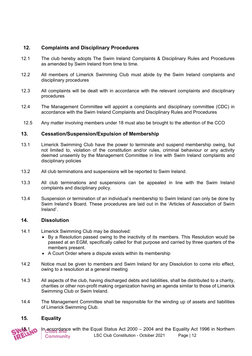# **12. Complaints and Disciplinary Procedures**

- 12.1 The club hereby adopts The Swim Ireland Complaints & Disciplinary Rules and Procedures as amended by Swim Ireland from time to time.
- 12.2 All members of Limerick Swimming Club must abide by the Swim Ireland complaints and disciplinary procedures
- 12.3 All complaints will be dealt with in accordance with the relevant complaints and disciplinary procedures
- 12.4 The Management Committee will appoint a complaints and disciplinary committee (CDC) in accordance with the Swim Ireland Complaints and Disciplinary Rules and Procedures
- 12.5 Any matter involving members under 18 must also be brought to the attention of the CCO

# **13. Cessation/Suspension/Expulsion of Membership**

- 13.1 Limerick Swimming Club have the power to terminate and suspend membership owing, but not limited to, violation of the constitution and/or rules, criminal behaviour or any activity deemed unseemly by the Management Committee in line with Swim Ireland complaints and disciplinary policies
- 13.2 All club terminations and suspensions will be reported to Swim Ireland.
- 13.3 All club terminations and suspensions can be appealed in line with the Swim Ireland complaints and disciplinary policy.
- 13.4 Suspension or termination of an individual's membership to Swim Ireland can only be done by Swim Ireland's Board. These procedures are laid out in the 'Articles of Association of Swim Ireland'.

#### **14. Dissolution**

- 14.1 Limerick Swimming Club may be dissolved:
	- By a Resolution passed owing to the inactivity of its members. This Resolution would be passed at an EGM, specifically called for that purpose and carried by three quarters of the members present.
	- A Court Order where a dispute exists within its membership
- 14.2 Notice must be given to members and Swim Ireland for any Dissolution to come into effect, owing to a resolution at a general meeting
- 14.3 All aspects of the club, having discharged debts and liabilities, shall be distributed to a charity, charities or other non-profit making organization having an agenda similar to those of Limerick Swimming Club or Swim Ireland.
- 14.4 The Management Committee shall be responsible for the winding up of assets and liabilities of Limerick Swimming Club.

# **15. Equality**